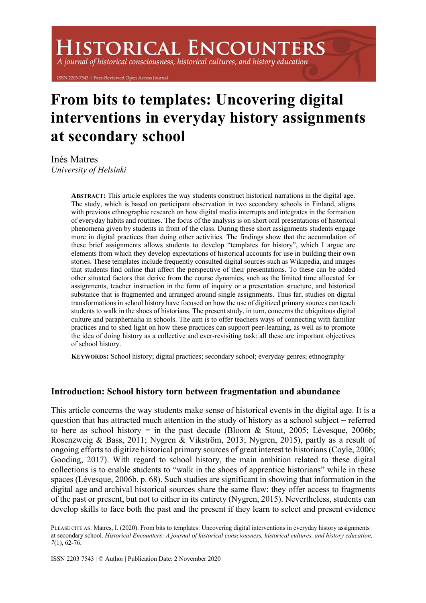# **HISTORICAL ENCOUNTERS**

A journal of historical consciousness, historical cultures, and history education

ISSN 2203-7543 | Peer-Reviewed Open Access Journal

# **From bits to templates: Uncovering digital interventions in everyday history assignments at secondary school**

Inés Matres *University of Helsinki*

> **ABSTRACT:** This article explores the way students construct historical narrations in the digital age. The study, which is based on participant observation in two secondary schools in Finland, aligns with previous ethnographic research on how digital media interrupts and integrates in the formation of everyday habits and routines. The focus of the analysis is on short oral presentations of historical phenomena given by students in front of the class. During these short assignments students engage more in digital practices than doing other activities. The findings show that the accumulation of these brief assignments allows students to develop "templates for history", which I argue are elements from which they develop expectations of historical accounts for use in building their own stories. These templates include frequently consulted digital sources such as Wikipedia, and images that students find online that affect the perspective of their presentations. To these can be added other situated factors that derive from the course dynamics, such as the limited time allocated for assignments, teacher instruction in the form of inquiry or a presentation structure, and historical substance that is fragmented and arranged around single assignments. Thus far, studies on digital transformations in school history have focused on how the use of digitized primary sources can teach students to walk in the shoes of historians. The present study, in turn, concerns the ubiquitous digital culture and paraphernalia in schools. The aim is to offer teachers ways of connecting with familiar practices and to shed light on how these practices can support peer-learning, as well as to promote the idea of doing history as a collective and ever-revisiting task: all these are important objectives of school history.

**KEYWORDS:** School history; digital practices; secondary school; everyday genres; ethnography

# **Introduction: School history torn between fragmentation and abundance**

This article concerns the way students make sense of historical events in the digital age. It is a question that has attracted much attention in the study of history as a school subject – referred to here as school history − in the past decade (Bloom & Stout, 2005; Lévesque, 2006b; Rosenzweig & Bass, 2011; Nygren & Vikström, 2013; Nygren, 2015), partly as a result of ongoing efforts to digitize historical primary sources of great interest to historians (Coyle, 2006; Gooding, 2017). With regard to school history, the main ambition related to these digital collections is to enable students to "walk in the shoes of apprentice historians" while in these spaces (Lévesque, 2006b, p. 68). Such studies are significant in showing that information in the digital age and archival historical sources share the same flaw: they offer access to fragments of the past or present, but not to either in its entirety (Nygren, 2015). Nevertheless, students can develop skills to face both the past and the present if they learn to select and present evidence

PLEASE CITE AS: Matres, I. (2020). From bits to templates: Uncovering digital interventions in everyday history assignments at secondary school. *Historical Encounters: A journal of historical consciousness, historical cultures, and history education, 7*(1), 62-76.

ISSN 2203 7543 | © Author | Publication Date: 2 November 2020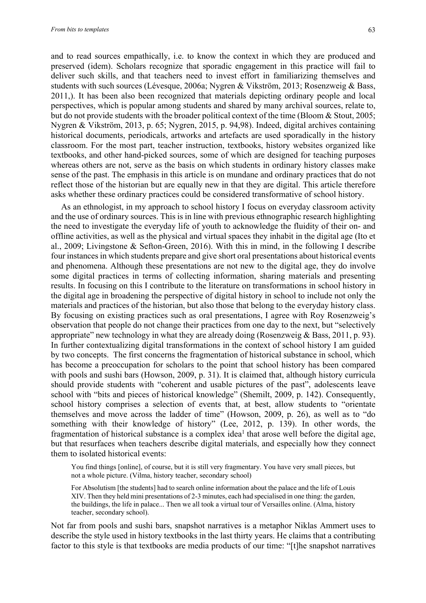and to read sources empathically, i.e. to know the context in which they are produced and preserved (idem). Scholars recognize that sporadic engagement in this practice will fail to deliver such skills, and that teachers need to invest effort in familiarizing themselves and students with such sources (Lévesque, 2006a; Nygren & Vikström, 2013; Rosenzweig & Bass, 2011,). It has been also been recognized that materials depicting ordinary people and local perspectives, which is popular among students and shared by many archival sources, relate to, but do not provide students with the broader political context of the time (Bloom & Stout, 2005; Nygren & Vikström, 2013, p. 65; Nygren, 2015, p. 94,98). Indeed, digital archives containing historical documents, periodicals, artworks and artefacts are used sporadically in the history classroom. For the most part, teacher instruction, textbooks, history websites organized like textbooks, and other hand-picked sources, some of which are designed for teaching purposes whereas others are not, serve as the basis on which students in ordinary history classes make sense of the past. The emphasis in this article is on mundane and ordinary practices that do not reflect those of the historian but are equally new in that they are digital. This article therefore asks whether these ordinary practices could be considered transformative of school history.

As an ethnologist, in my approach to school history I focus on everyday classroom activity and the use of ordinary sources. This is in line with previous ethnographic research highlighting the need to investigate the everyday life of youth to acknowledge the fluidity of their on- and offline activities, as well as the physical and virtual spaces they inhabit in the digital age (Ito et al., 2009; Livingstone & Sefton-Green, 2016). With this in mind, in the following I describe four instances in which students prepare and give short oral presentations about historical events and phenomena. Although these presentations are not new to the digital age, they do involve some digital practices in terms of collecting information, sharing materials and presenting results. In focusing on this I contribute to the literature on transformations in school history in the digital age in broadening the perspective of digital history in school to include not only the materials and practices of the historian, but also those that belong to the everyday history class. By focusing on existing practices such as oral presentations, I agree with Roy Rosenzweig's observation that people do not change their practices from one day to the next, but "selectively appropriate" new technology in what they are already doing (Rosenzweig & Bass, 2011, p. 93). In further contextualizing digital transformations in the context of school history I am guided by two concepts. The first concerns the fragmentation of historical substance in school, which has become a preoccupation for scholars to the point that school history has been compared with pools and sushi bars (Howson, 2009, p. 31). It is claimed that, although history curricula should provide students with "coherent and usable pictures of the past", adolescents leave school with "bits and pieces of historical knowledge" (Shemilt, 2009, p. 142). Consequently, school history comprises a selection of events that, at best, allow students to "orientate themselves and move across the ladder of time" (Howson, 2009, p. 26), as well as to "do something with their knowledge of history" (Lee, 2012, p. 139). In other words, the fragmentation of historical substance is a complex idea<sup>1</sup> that arose well before the digital age, but that resurfaces when teachers describe digital materials, and especially how they connect them to isolated historical events:

You find things [online], of course, but it is still very fragmentary. You have very small pieces, but not a whole picture. (Vilma, history teacher, secondary school)

For Absolutism [the students] had to search online information about the palace and the life of Louis XIV. Then they held mini presentations of 2-3 minutes, each had specialised in one thing: the garden, the buildings, the life in palace... Then we all took a virtual tour of Versailles online. (Alma, history teacher, secondary school).

Not far from pools and sushi bars, snapshot narratives is a metaphor Niklas Ammert uses to describe the style used in history textbooks in the last thirty years. He claims that a contributing factor to this style is that textbooks are media products of our time: "[t]he snapshot narratives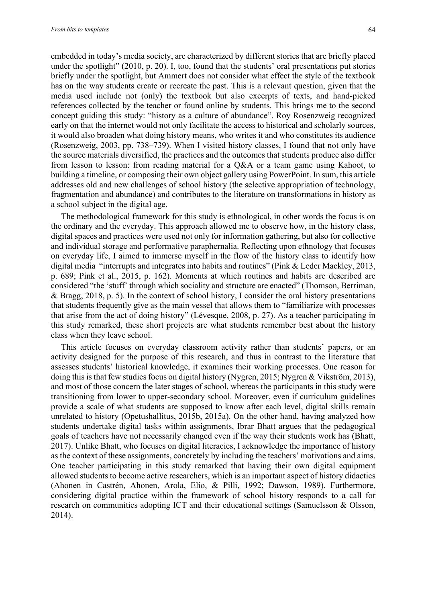embedded in today's media society, are characterized by different stories that are briefly placed under the spotlight" (2010, p. 20). I, too, found that the students' oral presentations put stories briefly under the spotlight, but Ammert does not consider what effect the style of the textbook has on the way students create or recreate the past. This is a relevant question, given that the media used include not (only) the textbook but also excerpts of texts, and hand-picked references collected by the teacher or found online by students. This brings me to the second concept guiding this study: "history as a culture of abundance". Roy Rosenzweig recognized early on that the internet would not only facilitate the access to historical and scholarly sources, it would also broaden what doing history means, who writes it and who constitutes its audience (Rosenzweig, 2003, pp. 738–739). When I visited history classes, I found that not only have the source materials diversified, the practices and the outcomes that students produce also differ from lesson to lesson: from reading material for a Q&A or a team game using Kahoot, to building a timeline, or composing their own object gallery using PowerPoint. In sum, this article addresses old and new challenges of school history (the selective appropriation of technology, fragmentation and abundance) and contributes to the literature on transformations in history as a school subject in the digital age.

The methodological framework for this study is ethnological, in other words the focus is on the ordinary and the everyday. This approach allowed me to observe how, in the history class, digital spaces and practices were used not only for information gathering, but also for collective and individual storage and performative paraphernalia. Reflecting upon ethnology that focuses on everyday life, I aimed to immerse myself in the flow of the history class to identify how digital media "interrupts and integrates into habits and routines" (Pink & Leder Mackley, 2013, p. 689; Pink et al., 2015, p. 162). Moments at which routines and habits are described are considered "the 'stuff' through which sociality and structure are enacted" (Thomson, Berriman, & Bragg, 2018, p. 5). In the context of school history, I consider the oral history presentations that students frequently give as the main vessel that allows them to "familiarize with processes that arise from the act of doing history" (Lévesque, 2008, p. 27). As a teacher participating in this study remarked, these short projects are what students remember best about the history class when they leave school.

This article focuses on everyday classroom activity rather than students' papers, or an activity designed for the purpose of this research, and thus in contrast to the literature that assesses students' historical knowledge, it examines their working processes. One reason for doing this is that few studies focus on digital history (Nygren, 2015; Nygren & Vikström, 2013), and most of those concern the later stages of school, whereas the participants in this study were transitioning from lower to upper-secondary school. Moreover, even if curriculum guidelines provide a scale of what students are supposed to know after each level, digital skills remain unrelated to history (Opetushallitus, 2015b, 2015a). On the other hand, having analyzed how students undertake digital tasks within assignments, Ibrar Bhatt argues that the pedagogical goals of teachers have not necessarily changed even if the way their students work has (Bhatt, 2017). Unlike Bhatt, who focuses on digital literacies, I acknowledge the importance of history as the context of these assignments, concretely by including the teachers' motivations and aims. One teacher participating in this study remarked that having their own digital equipment allowed students to become active researchers, which is an important aspect of history didactics (Ahonen in Castrén, Ahonen, Arola, Elio, & Pilli, 1992; Dawson, 1989). Furthermore, considering digital practice within the framework of school history responds to a call for research on communities adopting ICT and their educational settings (Samuelsson & Olsson, 2014).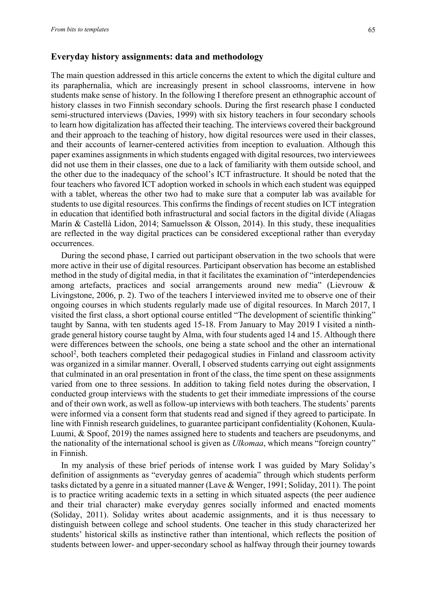# **Everyday history assignments: data and methodology**

The main question addressed in this article concerns the extent to which the digital culture and its paraphernalia, which are increasingly present in school classrooms, intervene in how students make sense of history. In the following I therefore present an ethnographic account of history classes in two Finnish secondary schools. During the first research phase I conducted semi-structured interviews (Davies, 1999) with six history teachers in four secondary schools to learn how digitalization has affected their teaching. The interviews covered their background and their approach to the teaching of history, how digital resources were used in their classes, and their accounts of learner-centered activities from inception to evaluation. Although this paper examines assignments in which students engaged with digital resources, two interviewees did not use them in their classes, one due to a lack of familiarity with them outside school, and the other due to the inadequacy of the school's ICT infrastructure. It should be noted that the four teachers who favored ICT adoption worked in schools in which each student was equipped with a tablet, whereas the other two had to make sure that a computer lab was available for students to use digital resources. This confirms the findings of recent studies on ICT integration in education that identified both infrastructural and social factors in the digital divide (Aliagas Marín & Castellà Lidon, 2014; Samuelsson & Olsson, 2014). In this study, these inequalities are reflected in the way digital practices can be considered exceptional rather than everyday occurrences.

During the second phase, I carried out participant observation in the two schools that were more active in their use of digital resources. Participant observation has become an established method in the study of digital media, in that it facilitates the examination of "interdependencies among artefacts, practices and social arrangements around new media" (Lievrouw & Livingstone, 2006, p. 2). Two of the teachers I interviewed invited me to observe one of their ongoing courses in which students regularly made use of digital resources. In March 2017, I visited the first class, a short optional course entitled "The development of scientific thinking" taught by Sanna, with ten students aged 15-18. From January to May 2019 I visited a ninthgrade general history course taught by Alma, with four students aged 14 and 15. Although there were differences between the schools, one being a state school and the other an international school<sup>2</sup>, both teachers completed their pedagogical studies in Finland and classroom activity was organized in a similar manner. Overall, I observed students carrying out eight assignments that culminated in an oral presentation in front of the class, the time spent on these assignments varied from one to three sessions. In addition to taking field notes during the observation, I conducted group interviews with the students to get their immediate impressions of the course and of their own work, as well as follow-up interviews with both teachers. The students' parents were informed via a consent form that students read and signed if they agreed to participate. In line with Finnish research guidelines, to guarantee participant confidentiality (Kohonen, Kuula-Luumi, & Spoof, 2019) the names assigned here to students and teachers are pseudonyms, and the nationality of the international school is given as *Ulkomaa*, which means "foreign country" in Finnish.

In my analysis of these brief periods of intense work I was guided by Mary Soliday's definition of assignments as "everyday genres of academia" through which students perform tasks dictated by a genre in a situated manner (Lave & Wenger, 1991; Soliday, 2011). The point is to practice writing academic texts in a setting in which situated aspects (the peer audience and their trial character) make everyday genres socially informed and enacted moments (Soliday, 2011). Soliday writes about academic assignments, and it is thus necessary to distinguish between college and school students. One teacher in this study characterized her students' historical skills as instinctive rather than intentional, which reflects the position of students between lower- and upper-secondary school as halfway through their journey towards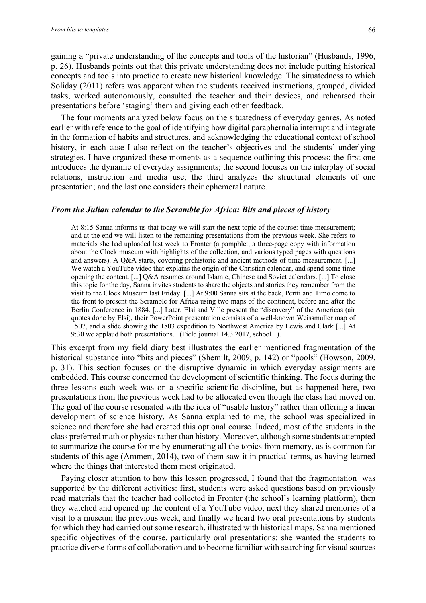gaining a "private understanding of the concepts and tools of the historian" (Husbands, 1996, p. 26). Husbands points out that this private understanding does not include putting historical concepts and tools into practice to create new historical knowledge. The situatedness to which Soliday (2011) refers was apparent when the students received instructions, grouped, divided tasks, worked autonomously, consulted the teacher and their devices, and rehearsed their presentations before 'staging' them and giving each other feedback.

The four moments analyzed below focus on the situatedness of everyday genres. As noted earlier with reference to the goal of identifying how digital paraphernalia interrupt and integrate in the formation of habits and structures, and acknowledging the educational context of school history, in each case I also reflect on the teacher's objectives and the students' underlying strategies. I have organized these moments as a sequence outlining this process: the first one introduces the dynamic of everyday assignments; the second focuses on the interplay of social relations, instruction and media use; the third analyzes the structural elements of one presentation; and the last one considers their ephemeral nature.

#### *From the Julian calendar to the Scramble for Africa: Bits and pieces of history*

At 8:15 Sanna informs us that today we will start the next topic of the course: time measurement; and at the end we will listen to the remaining presentations from the previous week. She refers to materials she had uploaded last week to Fronter (a pamphlet, a three-page copy with information about the Clock museum with highlights of the collection, and various typed pages with questions and answers). A Q&A starts, covering prehistoric and ancient methods of time measurement. [...] We watch a YouTube video that explains the origin of the Christian calendar, and spend some time opening the content. [...] Q&A resumes around Islamic, Chinese and Soviet calendars. [...] To close this topic for the day, Sanna invites students to share the objects and stories they remember from the visit to the Clock Museum last Friday. [...] At 9:00 Sanna sits at the back, Pertti and Timo come to the front to present the Scramble for Africa using two maps of the continent, before and after the Berlin Conference in 1884. [...] Later, Elsi and Ville present the "discovery" of the Americas (air quotes done by Elsi), their PowerPoint presentation consists of a well-known Weissmuller map of 1507, and a slide showing the 1803 expedition to Northwest America by Lewis and Clark [...] At 9:30 we applaud both presentations... (Field journal 14.3.2017, school 1).

This excerpt from my field diary best illustrates the earlier mentioned fragmentation of the historical substance into "bits and pieces" (Shemilt, 2009, p. 142) or "pools" (Howson, 2009, p. 31). This section focuses on the disruptive dynamic in which everyday assignments are embedded. This course concerned the development of scientific thinking. The focus during the three lessons each week was on a specific scientific discipline, but as happened here, two presentations from the previous week had to be allocated even though the class had moved on. The goal of the course resonated with the idea of "usable history" rather than offering a linear development of science history. As Sanna explained to me, the school was specialized in science and therefore she had created this optional course. Indeed, most of the students in the class preferred math or physics rather than history. Moreover, although some students attempted to summarize the course for me by enumerating all the topics from memory, as is common for students of this age (Ammert, 2014), two of them saw it in practical terms, as having learned where the things that interested them most originated.

Paying closer attention to how this lesson progressed, I found that the fragmentation was supported by the different activities: first, students were asked questions based on previously read materials that the teacher had collected in Fronter (the school's learning platform), then they watched and opened up the content of a YouTube video, next they shared memories of a visit to a museum the previous week, and finally we heard two oral presentations by students for which they had carried out some research, illustrated with historical maps. Sanna mentioned specific objectives of the course, particularly oral presentations: she wanted the students to practice diverse forms of collaboration and to become familiar with searching for visual sources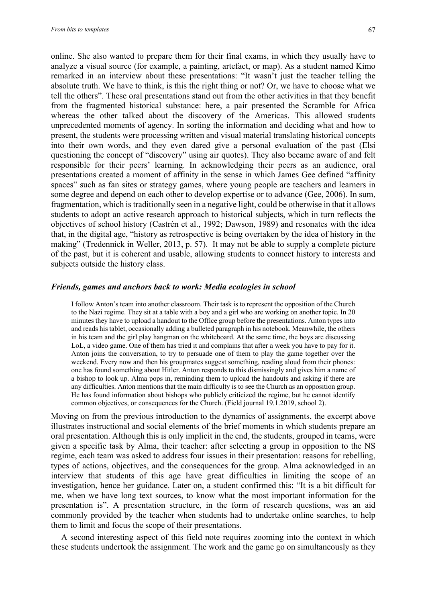online. She also wanted to prepare them for their final exams, in which they usually have to analyze a visual source (for example, a painting, artefact, or map). As a student named Kimo remarked in an interview about these presentations: "It wasn't just the teacher telling the absolute truth. We have to think, is this the right thing or not? Or, we have to choose what we tell the others". These oral presentations stand out from the other activities in that they benefit from the fragmented historical substance: here, a pair presented the Scramble for Africa whereas the other talked about the discovery of the Americas. This allowed students unprecedented moments of agency. In sorting the information and deciding what and how to present, the students were processing written and visual material translating historical concepts into their own words, and they even dared give a personal evaluation of the past (Elsi questioning the concept of "discovery" using air quotes). They also became aware of and felt responsible for their peers' learning. In acknowledging their peers as an audience, oral presentations created a moment of affinity in the sense in which James Gee defined "affinity spaces" such as fan sites or strategy games, where young people are teachers and learners in some degree and depend on each other to develop expertise or to advance (Gee, 2006). In sum, fragmentation, which is traditionally seen in a negative light, could be otherwise in that it allows students to adopt an active research approach to historical subjects, which in turn reflects the objectives of school history (Castrén et al., 1992; Dawson, 1989) and resonates with the idea that, in the digital age, "history as retrospective is being overtaken by the idea of history in the making" (Tredennick in Weller, 2013, p. 57). It may not be able to supply a complete picture of the past, but it is coherent and usable, allowing students to connect history to interests and subjects outside the history class.

# *Friends, games and anchors back to work: Media ecologies in school*

I follow Anton's team into another classroom. Their task is to represent the opposition of the Church to the Nazi regime. They sit at a table with a boy and a girl who are working on another topic. In 20 minutes they have to upload a handout to the Office group before the presentations. Anton types into and reads his tablet, occasionally adding a bulleted paragraph in his notebook. Meanwhile, the others in his team and the girl play hangman on the whiteboard. At the same time, the boys are discussing LoL, a video game. One of them has tried it and complains that after a week you have to pay for it. Anton joins the conversation, to try to persuade one of them to play the game together over the weekend. Every now and then his groupmates suggest something, reading aloud from their phones: one has found something about Hitler. Anton responds to this dismissingly and gives him a name of a bishop to look up. Alma pops in, reminding them to upload the handouts and asking if there are any difficulties. Anton mentions that the main difficulty is to see the Church as an opposition group. He has found information about bishops who publicly criticized the regime, but he cannot identify common objectives, or consequences for the Church. (Field journal 19.1.2019, school 2).

Moving on from the previous introduction to the dynamics of assignments, the excerpt above illustrates instructional and social elements of the brief moments in which students prepare an oral presentation. Although this is only implicit in the end, the students, grouped in teams, were given a specific task by Alma, their teacher: after selecting a group in opposition to the NS regime, each team was asked to address four issues in their presentation: reasons for rebelling, types of actions, objectives, and the consequences for the group. Alma acknowledged in an interview that students of this age have great difficulties in limiting the scope of an investigation, hence her guidance. Later on, a student confirmed this: "It is a bit difficult for me, when we have long text sources, to know what the most important information for the presentation is". A presentation structure, in the form of research questions, was an aid commonly provided by the teacher when students had to undertake online searches, to help them to limit and focus the scope of their presentations.

A second interesting aspect of this field note requires zooming into the context in which these students undertook the assignment. The work and the game go on simultaneously as they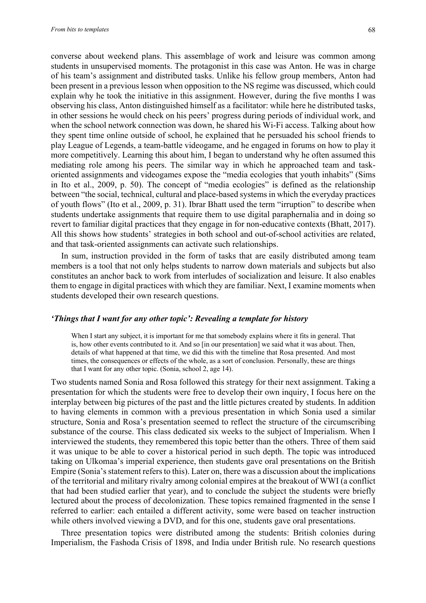converse about weekend plans. This assemblage of work and leisure was common among students in unsupervised moments. The protagonist in this case was Anton. He was in charge of his team's assignment and distributed tasks. Unlike his fellow group members, Anton had been present in a previous lesson when opposition to the NS regime was discussed, which could explain why he took the initiative in this assignment. However, during the five months I was observing his class, Anton distinguished himself as a facilitator: while here he distributed tasks, in other sessions he would check on his peers' progress during periods of individual work, and when the school network connection was down, he shared his Wi-Fi access. Talking about how they spent time online outside of school, he explained that he persuaded his school friends to play League of Legends, a team-battle videogame, and he engaged in forums on how to play it more competitively. Learning this about him, I began to understand why he often assumed this mediating role among his peers. The similar way in which he approached team and taskoriented assignments and videogames expose the "media ecologies that youth inhabits" (Sims in Ito et al., 2009, p. 50). The concept of "media ecologies" is defined as the relationship between "the social, technical, cultural and place-based systems in which the everyday practices of youth flows" (Ito et al., 2009, p. 31). Ibrar Bhatt used the term "irruption" to describe when students undertake assignments that require them to use digital paraphernalia and in doing so revert to familiar digital practices that they engage in for non-educative contexts (Bhatt, 2017). All this shows how students' strategies in both school and out-of-school activities are related, and that task-oriented assignments can activate such relationships.

In sum, instruction provided in the form of tasks that are easily distributed among team members is a tool that not only helps students to narrow down materials and subjects but also constitutes an anchor back to work from interludes of socialization and leisure. It also enables them to engage in digital practices with which they are familiar. Next, I examine moments when students developed their own research questions.

#### *'Things that I want for any other topic': Revealing a template for history*

When I start any subject, it is important for me that somebody explains where it fits in general. That is, how other events contributed to it. And so [in our presentation] we said what it was about. Then, details of what happened at that time, we did this with the timeline that Rosa presented. And most times, the consequences or effects of the whole, as a sort of conclusion. Personally, these are things that I want for any other topic. (Sonia, school 2, age 14).

Two students named Sonia and Rosa followed this strategy for their next assignment. Taking a presentation for which the students were free to develop their own inquiry, I focus here on the interplay between big pictures of the past and the little pictures created by students. In addition to having elements in common with a previous presentation in which Sonia used a similar structure, Sonia and Rosa's presentation seemed to reflect the structure of the circumscribing substance of the course. This class dedicated six weeks to the subject of Imperialism. When I interviewed the students, they remembered this topic better than the others. Three of them said it was unique to be able to cover a historical period in such depth. The topic was introduced taking on Ulkomaa's imperial experience, then students gave oral presentations on the British Empire (Sonia's statement refers to this). Later on, there was a discussion about the implications of the territorial and military rivalry among colonial empires at the breakout of WWI (a conflict that had been studied earlier that year), and to conclude the subject the students were briefly lectured about the process of decolonization. These topics remained fragmented in the sense I referred to earlier: each entailed a different activity, some were based on teacher instruction while others involved viewing a DVD, and for this one, students gave oral presentations.

Three presentation topics were distributed among the students: British colonies during Imperialism, the Fashoda Crisis of 1898, and India under British rule. No research questions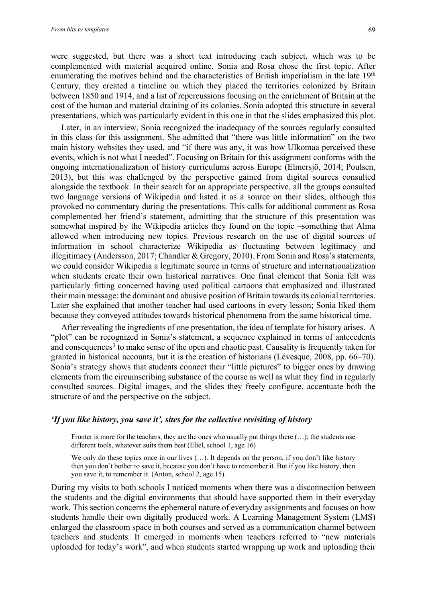were suggested, but there was a short text introducing each subject, which was to be complemented with material acquired online. Sonia and Rosa chose the first topic. After enumerating the motives behind and the characteristics of British imperialism in the late 19<sup>th</sup> Century, they created a timeline on which they placed the territories colonized by Britain between 1850 and 1914, and a list of repercussions focusing on the enrichment of Britain at the cost of the human and material draining of its colonies. Sonia adopted this structure in several presentations, which was particularly evident in this one in that the slides emphasized this plot.

Later, in an interview, Sonia recognized the inadequacy of the sources regularly consulted in this class for this assignment. She admitted that "there was little information" on the two main history websites they used, and "if there was any, it was how Ulkomaa perceived these events, which is not what I needed". Focusing on Britain for this assignment conforms with the ongoing internationalization of history curriculums across Europe (Elmersjö, 2014; Poulsen, 2013), but this was challenged by the perspective gained from digital sources consulted alongside the textbook. In their search for an appropriate perspective, all the groups consulted two language versions of Wikipedia and listed it as a source on their slides, although this provoked no commentary during the presentations. This calls for additional comment as Rosa complemented her friend's statement, admitting that the structure of this presentation was somewhat inspired by the Wikipedia articles they found on the topic –something that Alma allowed when introducing new topics. Previous research on the use of digital sources of information in school characterize Wikipedia as fluctuating between legitimacy and illegitimacy (Andersson, 2017; Chandler & Gregory, 2010). From Sonia and Rosa's statements, we could consider Wikipedia a legitimate source in terms of structure and internationalization when students create their own historical narratives. One final element that Sonia felt was particularly fitting concerned having used political cartoons that emphasized and illustrated their main message: the dominant and abusive position of Britain towards its colonial territories. Later she explained that another teacher had used cartoons in every lesson; Sonia liked them because they conveyed attitudes towards historical phenomena from the same historical time.

After revealing the ingredients of one presentation, the idea of template for history arises. A "plot" can be recognized in Sonia's statement, a sequence explained in terms of antecedents and consequences<sup>3</sup> to make sense of the open and chaotic past. Causality is frequently taken for granted in historical accounts, but it is the creation of historians (Lévesque, 2008, pp. 66–70). Sonia's strategy shows that students connect their "little pictures" to bigger ones by drawing elements from the circumscribing substance of the course as well as what they find in regularly consulted sources. Digital images, and the slides they freely configure, accentuate both the structure of and the perspective on the subject.

#### *'If you like history, you save it', sites for the collective revisiting of history*

Fronter is more for the teachers, they are the ones who usually put things there  $(\ldots)$ ; the students use different tools, whatever suits them best (Eliel, school 1, age 16)

We only do these topics once in our lives (...). It depends on the person, if you don't like history then you don't bother to save it, because you don't have to remember it. But if you like history, then you save it, to remember it. (Anton, school 2, age 15).

During my visits to both schools I noticed moments when there was a disconnection between the students and the digital environments that should have supported them in their everyday work. This section concerns the ephemeral nature of everyday assignments and focuses on how students handle their own digitally produced work. A Learning Management System (LMS) enlarged the classroom space in both courses and served as a communication channel between teachers and students. It emerged in moments when teachers referred to "new materials uploaded for today's work", and when students started wrapping up work and uploading their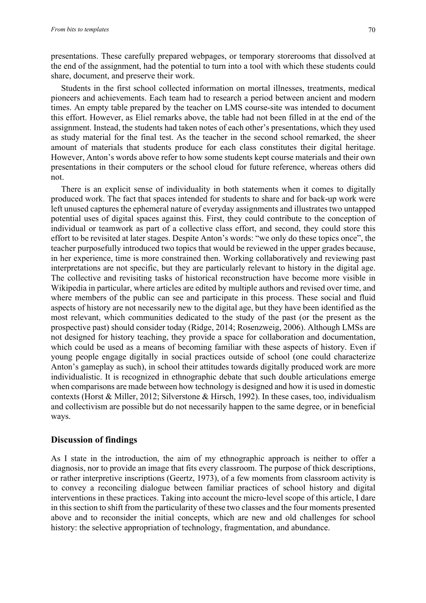presentations. These carefully prepared webpages, or temporary storerooms that dissolved at the end of the assignment, had the potential to turn into a tool with which these students could share, document, and preserve their work.

Students in the first school collected information on mortal illnesses, treatments, medical pioneers and achievements. Each team had to research a period between ancient and modern times. An empty table prepared by the teacher on LMS course-site was intended to document this effort. However, as Eliel remarks above, the table had not been filled in at the end of the assignment. Instead, the students had taken notes of each other's presentations, which they used as study material for the final test. As the teacher in the second school remarked, the sheer amount of materials that students produce for each class constitutes their digital heritage. However, Anton's words above refer to how some students kept course materials and their own presentations in their computers or the school cloud for future reference, whereas others did not.

There is an explicit sense of individuality in both statements when it comes to digitally produced work. The fact that spaces intended for students to share and for back-up work were left unused captures the ephemeral nature of everyday assignments and illustrates two untapped potential uses of digital spaces against this. First, they could contribute to the conception of individual or teamwork as part of a collective class effort, and second, they could store this effort to be revisited at later stages. Despite Anton's words: "we only do these topics once", the teacher purposefully introduced two topics that would be reviewed in the upper grades because, in her experience, time is more constrained then. Working collaboratively and reviewing past interpretations are not specific, but they are particularly relevant to history in the digital age. The collective and revisiting tasks of historical reconstruction have become more visible in Wikipedia in particular, where articles are edited by multiple authors and revised over time, and where members of the public can see and participate in this process. These social and fluid aspects of history are not necessarily new to the digital age, but they have been identified as the most relevant, which communities dedicated to the study of the past (or the present as the prospective past) should consider today (Ridge, 2014; Rosenzweig, 2006). Although LMSs are not designed for history teaching, they provide a space for collaboration and documentation, which could be used as a means of becoming familiar with these aspects of history. Even if young people engage digitally in social practices outside of school (one could characterize Anton's gameplay as such), in school their attitudes towards digitally produced work are more individualistic. It is recognized in ethnographic debate that such double articulations emerge when comparisons are made between how technology is designed and how it is used in domestic contexts (Horst & Miller, 2012; Silverstone & Hirsch, 1992). In these cases, too, individualism and collectivism are possible but do not necessarily happen to the same degree, or in beneficial ways.

# **Discussion of findings**

As I state in the introduction, the aim of my ethnographic approach is neither to offer a diagnosis, nor to provide an image that fits every classroom. The purpose of thick descriptions, or rather interpretive inscriptions (Geertz, 1973), of a few moments from classroom activity is to convey a reconciling dialogue between familiar practices of school history and digital interventions in these practices. Taking into account the micro-level scope of this article, I dare in this section to shift from the particularity of these two classes and the four moments presented above and to reconsider the initial concepts, which are new and old challenges for school history: the selective appropriation of technology, fragmentation, and abundance.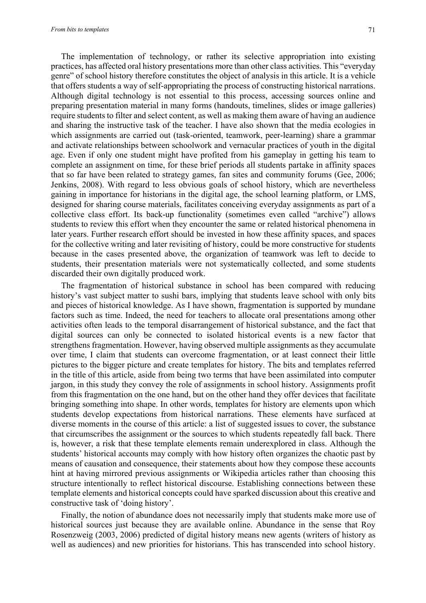The implementation of technology, or rather its selective appropriation into existing practices, has affected oral history presentations more than other class activities. This "everyday genre" of school history therefore constitutes the object of analysis in this article. It is a vehicle that offers students a way of self-appropriating the process of constructing historical narrations. Although digital technology is not essential to this process, accessing sources online and preparing presentation material in many forms (handouts, timelines, slides or image galleries) require students to filter and select content, as well as making them aware of having an audience and sharing the instructive task of the teacher. I have also shown that the media ecologies in which assignments are carried out (task-oriented, teamwork, peer-learning) share a grammar and activate relationships between schoolwork and vernacular practices of youth in the digital age. Even if only one student might have profited from his gameplay in getting his team to complete an assignment on time, for these brief periods all students partake in affinity spaces that so far have been related to strategy games, fan sites and community forums (Gee, 2006; Jenkins, 2008). With regard to less obvious goals of school history, which are nevertheless gaining in importance for historians in the digital age, the school learning platform, or LMS, designed for sharing course materials, facilitates conceiving everyday assignments as part of a collective class effort. Its back-up functionality (sometimes even called "archive") allows students to review this effort when they encounter the same or related historical phenomena in later years. Further research effort should be invested in how these affinity spaces, and spaces for the collective writing and later revisiting of history, could be more constructive for students because in the cases presented above, the organization of teamwork was left to decide to students, their presentation materials were not systematically collected, and some students discarded their own digitally produced work.

The fragmentation of historical substance in school has been compared with reducing history's vast subject matter to sushi bars, implying that students leave school with only bits and pieces of historical knowledge. As I have shown, fragmentation is supported by mundane factors such as time. Indeed, the need for teachers to allocate oral presentations among other activities often leads to the temporal disarrangement of historical substance, and the fact that digital sources can only be connected to isolated historical events is a new factor that strengthens fragmentation. However, having observed multiple assignments as they accumulate over time, I claim that students can overcome fragmentation, or at least connect their little pictures to the bigger picture and create templates for history. The bits and templates referred in the title of this article, aside from being two terms that have been assimilated into computer jargon, in this study they convey the role of assignments in school history. Assignments profit from this fragmentation on the one hand, but on the other hand they offer devices that facilitate bringing something into shape. In other words, templates for history are elements upon which students develop expectations from historical narrations. These elements have surfaced at diverse moments in the course of this article: a list of suggested issues to cover, the substance that circumscribes the assignment or the sources to which students repeatedly fall back. There is, however, a risk that these template elements remain underexplored in class. Although the students' historical accounts may comply with how history often organizes the chaotic past by means of causation and consequence, their statements about how they compose these accounts hint at having mirrored previous assignments or Wikipedia articles rather than choosing this structure intentionally to reflect historical discourse. Establishing connections between these template elements and historical concepts could have sparked discussion about this creative and constructive task of 'doing history'.

Finally, the notion of abundance does not necessarily imply that students make more use of historical sources just because they are available online. Abundance in the sense that Roy Rosenzweig (2003, 2006) predicted of digital history means new agents (writers of history as well as audiences) and new priorities for historians. This has transcended into school history.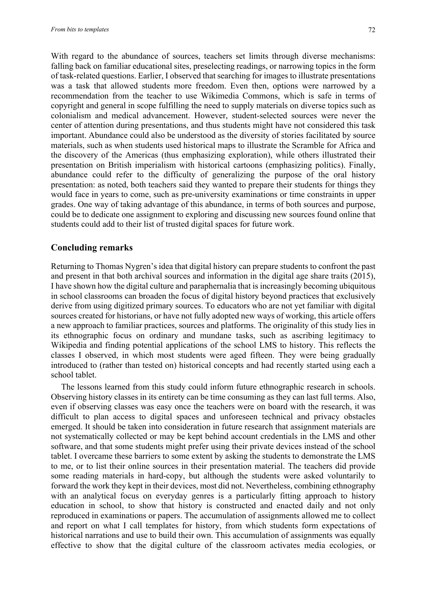With regard to the abundance of sources, teachers set limits through diverse mechanisms: falling back on familiar educational sites, preselecting readings, or narrowing topics in the form of task-related questions. Earlier, I observed that searching for images to illustrate presentations was a task that allowed students more freedom. Even then, options were narrowed by a recommendation from the teacher to use Wikimedia Commons, which is safe in terms of copyright and general in scope fulfilling the need to supply materials on diverse topics such as colonialism and medical advancement. However, student-selected sources were never the center of attention during presentations, and thus students might have not considered this task important. Abundance could also be understood as the diversity of stories facilitated by source materials, such as when students used historical maps to illustrate the Scramble for Africa and the discovery of the Americas (thus emphasizing exploration), while others illustrated their presentation on British imperialism with historical cartoons (emphasizing politics). Finally, abundance could refer to the difficulty of generalizing the purpose of the oral history presentation: as noted, both teachers said they wanted to prepare their students for things they would face in years to come, such as pre-university examinations or time constraints in upper grades. One way of taking advantage of this abundance, in terms of both sources and purpose, could be to dedicate one assignment to exploring and discussing new sources found online that students could add to their list of trusted digital spaces for future work.

# **Concluding remarks**

Returning to Thomas Nygren's idea that digital history can prepare students to confront the past and present in that both archival sources and information in the digital age share traits (2015), I have shown how the digital culture and paraphernalia that is increasingly becoming ubiquitous in school classrooms can broaden the focus of digital history beyond practices that exclusively derive from using digitized primary sources. To educators who are not yet familiar with digital sources created for historians, or have not fully adopted new ways of working, this article offers a new approach to familiar practices, sources and platforms. The originality of this study lies in its ethnographic focus on ordinary and mundane tasks, such as ascribing legitimacy to Wikipedia and finding potential applications of the school LMS to history. This reflects the classes I observed, in which most students were aged fifteen. They were being gradually introduced to (rather than tested on) historical concepts and had recently started using each a school tablet.

The lessons learned from this study could inform future ethnographic research in schools. Observing history classes in its entirety can be time consuming as they can last full terms. Also, even if observing classes was easy once the teachers were on board with the research, it was difficult to plan access to digital spaces and unforeseen technical and privacy obstacles emerged. It should be taken into consideration in future research that assignment materials are not systematically collected or may be kept behind account credentials in the LMS and other software, and that some students might prefer using their private devices instead of the school tablet. I overcame these barriers to some extent by asking the students to demonstrate the LMS to me, or to list their online sources in their presentation material. The teachers did provide some reading materials in hard-copy, but although the students were asked voluntarily to forward the work they kept in their devices, most did not. Nevertheless, combining ethnography with an analytical focus on everyday genres is a particularly fitting approach to history education in school, to show that history is constructed and enacted daily and not only reproduced in examinations or papers. The accumulation of assignments allowed me to collect and report on what I call templates for history, from which students form expectations of historical narrations and use to build their own. This accumulation of assignments was equally effective to show that the digital culture of the classroom activates media ecologies, or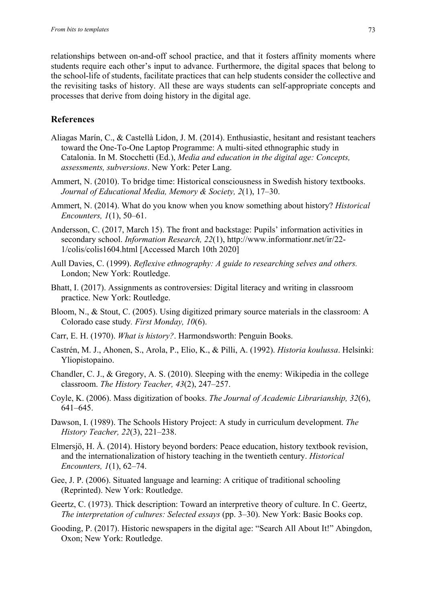relationships between on-and-off school practice, and that it fosters affinity moments where students require each other's input to advance. Furthermore, the digital spaces that belong to the school-life of students, facilitate practices that can help students consider the collective and the revisiting tasks of history. All these are ways students can self-appropriate concepts and processes that derive from doing history in the digital age.

# **References**

- Aliagas Marín, C., & Castellà Lidon, J. M. (2014). Enthusiastic, hesitant and resistant teachers toward the One-To-One Laptop Programme: A multi-sited ethnographic study in Catalonia. In M. Stocchetti (Ed.), *Media and education in the digital age: Concepts, assessments, subversions*. New York: Peter Lang.
- Ammert, N. (2010). To bridge time: Historical consciousness in Swedish history textbooks. *Journal of Educational Media, Memory & Society, 2*(1), 17–30.
- Ammert, N. (2014). What do you know when you know something about history? *Historical Encounters, 1*(1), 50–61.
- Andersson, C. (2017, March 15). The front and backstage: Pupils' information activities in secondary school. *Information Research, 22*(1), http://www.informationr.net/ir/22- 1/colis/colis1604.html [Accessed March 10th 2020]
- Aull Davies, C. (1999). *Reflexive ethnography: A guide to researching selves and others.* London; New York: Routledge.
- Bhatt, I. (2017). Assignments as controversies: Digital literacy and writing in classroom practice. New York: Routledge.
- Bloom, N., & Stout, C. (2005). Using digitized primary source materials in the classroom: A Colorado case study*. First Monday, 10*(6).
- Carr, E. H. (1970). *What is history?*. Harmondsworth: Penguin Books.
- Castrén, M. J., Ahonen, S., Arola, P., Elio, K., & Pilli, A. (1992). *Historia koulussa*. Helsinki: Yliopistopaino.
- Chandler, C. J., & Gregory, A. S. (2010). Sleeping with the enemy: Wikipedia in the college classroom. *The History Teacher, 43*(2), 247–257.
- Coyle, K. (2006). Mass digitization of books. *The Journal of Academic Librarianship, 32*(6), 641–645.
- Dawson, I. (1989). The Schools History Project: A study in curriculum development. *The History Teacher, 22*(3), 221–238.
- Elmersjö, H. Å. (2014). History beyond borders: Peace education, history textbook revision, and the internationalization of history teaching in the twentieth century. *Historical Encounters, 1*(1), 62–74.
- Gee, J. P. (2006). Situated language and learning: A critique of traditional schooling (Reprinted). New York: Routledge.
- Geertz, C. (1973). Thick description: Toward an interpretive theory of culture. In C. Geertz, *The interpretation of cultures: Selected essays* (pp. 3–30). New York: Basic Books cop.
- Gooding, P. (2017). Historic newspapers in the digital age: "Search All About It!" Abingdon, Oxon; New York: Routledge.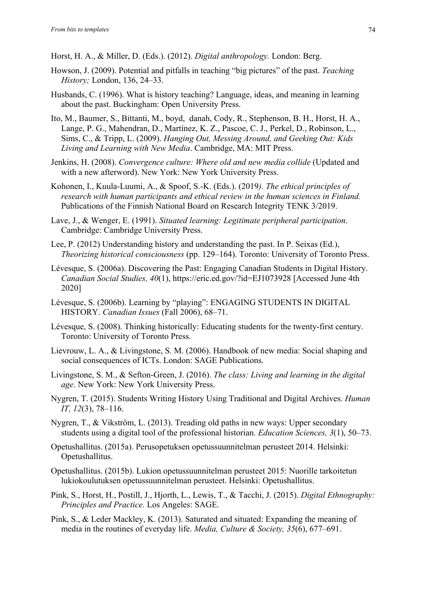Horst, H. A., & Miller, D. (Eds.). (2012). *Digital anthropology.* London: Berg.

- Howson, J. (2009). Potential and pitfalls in teaching "big pictures" of the past. *Teaching History;* London, 136, 24–33.
- Husbands, C. (1996). What is history teaching? Language, ideas, and meaning in learning about the past. Buckingham: Open University Press.
- Ito, M., Baumer, S., Bittanti, M., boyd, danah, Cody, R., Stephenson, B. H., Horst, H. A., Lange, P. G., Mahendran, D., Martínez, K. Z., Pascoe, C. J., Perkel, D., Robinson, L., Sims, C., & Tripp, L. (2009). *Hanging Out, Messing Around, and Geeking Out: Kids Living and Learning with New Media*. Cambridge, MA: MIT Press.
- Jenkins, H. (2008). *Convergence culture: Where old and new media collide* (Updated and with a new afterword). New York: New York University Press.
- Kohonen, I., Kuula-Luumi, A., & Spoof, S.-K. (Eds.). (2019*). The ethical principles of research with human participants and ethical review in the human sciences in Finland.* Publications of the Finnish National Board on Research Integrity TENK 3/2019.
- Lave, J., & Wenger, E. (1991). *Situated learning: Legitimate peripheral participation*. Cambridge: Cambridge University Press.
- Lee, P. (2012) Understanding history and understanding the past. In P. Seixas (Ed.), *Theorizing historical consciousness* (pp. 129–164). Toronto: University of Toronto Press.
- Lévesque, S. (2006a). Discovering the Past: Engaging Canadian Students in Digital History. *Canadian Social Studies, 40*(1), https://eric.ed.gov/?id=EJ1073928 [Accessed June 4th 2020]
- Lévesque, S. (2006b). Learning by "playing": ENGAGING STUDENTS IN DIGITAL HISTORY. *Canadian Issues* (Fall 2006), 68–71.
- Lévesque, S. (2008). Thinking historically: Educating students for the twenty-first century. Toronto: University of Toronto Press.
- Lievrouw, L. A., & Livingstone, S. M. (2006). Handbook of new media: Social shaping and social consequences of ICTs. London: SAGE Publications.
- Livingstone, S. M., & Sefton-Green, J. (2016). *The class: Living and learning in the digital age*. New York: New York University Press.
- Nygren, T. (2015). Students Writing History Using Traditional and Digital Archives. *Human IT, 12*(3), 78–116.
- Nygren, T., & Vikström, L. (2013). Treading old paths in new ways: Upper secondary students using a digital tool of the professional historian*. Education Sciences, 3*(1), 50–73.
- Opetushallitus. (2015a). Perusopetuksen opetussuunnitelman perusteet 2014. Helsinki: Opetushallitus.
- Opetushallitus. (2015b). Lukion opetussuunnitelman perusteet 2015: Nuorille tarkoitetun lukiokoulutuksen opetussuunnitelman perusteet. Helsinki: Opetushallitus.
- Pink, S., Horst, H., Postill, J., Hjorth, L., Lewis, T., & Tacchi, J. (2015). *Digital Ethnography: Principles and Practice.* Los Angeles: SAGE.
- Pink, S., & Leder Mackley, K. (2013). Saturated and situated: Expanding the meaning of media in the routines of everyday life. *Media, Culture & Society, 35*(6), 677–691.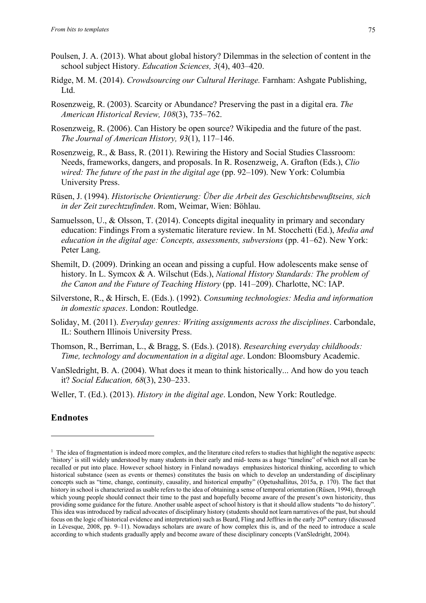- Poulsen, J. A. (2013). What about global history? Dilemmas in the selection of content in the school subject History. *Education Sciences, 3*(4), 403–420.
- Ridge, M. M. (2014). *Crowdsourcing our Cultural Heritage.* Farnham: Ashgate Publishing, Ltd.
- Rosenzweig, R. (2003). Scarcity or Abundance? Preserving the past in a digital era. *The American Historical Review, 108*(3), 735–762.
- Rosenzweig, R. (2006). Can History be open source? Wikipedia and the future of the past. *The Journal of American History, 93*(1), 117–146.
- Rosenzweig, R., & Bass, R. (2011). Rewiring the History and Social Studies Classroom: Needs, frameworks, dangers, and proposals. In R. Rosenzweig, A. Grafton (Eds.), *Clio wired: The future of the past in the digital age* (pp. 92–109). New York: Columbia University Press.
- Rüsen, J. (1994). *Historische Orientierung: Über die Arbeit des Geschichtsbewußtseins, sich in der Zeit zurechtzufinden*. Rom, Weimar, Wien: Böhlau.
- Samuelsson, U., & Olsson, T. (2014). Concepts digital inequality in primary and secondary education: Findings From a systematic literature review. In M. Stocchetti (Ed.), *Media and education in the digital age: Concepts, assessments, subversions* (pp. 41–62). New York: Peter Lang.
- Shemilt, D. (2009). Drinking an ocean and pissing a cupful. How adolescents make sense of history. In L. Symcox & A. Wilschut (Eds.), *National History Standards: The problem of the Canon and the Future of Teaching History* (pp. 141–209). Charlotte, NC: IAP.
- Silverstone, R., & Hirsch, E. (Eds.). (1992). *Consuming technologies: Media and information in domestic spaces*. London: Routledge.
- Soliday, M. (2011). *Everyday genres: Writing assignments across the disciplines*. Carbondale, IL: Southern Illinois University Press.
- Thomson, R., Berriman, L., & Bragg, S. (Eds.). (2018). *Researching everyday childhoods: Time, technology and documentation in a digital age*. London: Bloomsbury Academic.
- VanSledright, B. A. (2004). What does it mean to think historically... And how do you teach it? *Social Education, 68*(3), 230–233.
- Weller, T. (Ed.). (2013). *History in the digital age*. London, New York: Routledge.

# **Endnotes**

 $<sup>1</sup>$  The idea of fragmentation is indeed more complex, and the literature cited refers to studies that highlight the negative aspects:</sup> 'history' is still widely understood by many students in their early and mid- teens as a huge "timeline" of which not all can be recalled or put into place. However school history in Finland nowadays emphasizes historical thinking, according to which historical substance (seen as events or themes) constitutes the basis on which to develop an understanding of disciplinary concepts such as "time, change, continuity, causality, and historical empathy" (Opetushallitus, 2015a, p. 170). The fact that history in school is characterized as usable refers to the idea of obtaining a sense of temporal orientation (Rüsen, 1994), through which young people should connect their time to the past and hopefully become aware of the present's own historicity, thus providing some guidance for the future. Another usable aspect of school history is that it should allow students "to do history". This idea was introduced by radical advocates of disciplinary history (students should not learn narratives of the past, but should focus on the logic of historical evidence and interpretation) such as Beard, Fling and Jeffries in the early 20<sup>th</sup> century (discussed in Lévesque, 2008, pp. 9–11). Nowadays scholars are aware of how complex this is, and of the need to introduce a scale according to which students gradually apply and become aware of these disciplinary concepts (VanSledright, 2004).